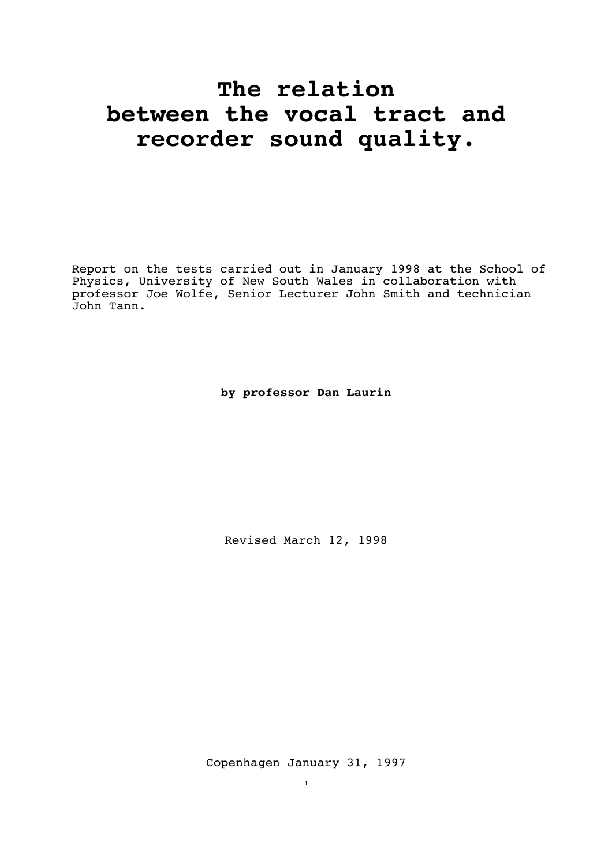## **The relation between the vocal tract and recorder sound quality.**

Report on the tests carried out in January 1998 at the School of Physics, University of New South Wales in collaboration with professor Joe Wolfe, Senior Lecturer John Smith and technician John Tann.

**by professor Dan Laurin**

Revised March 12, 1998

Copenhagen January 31, 1997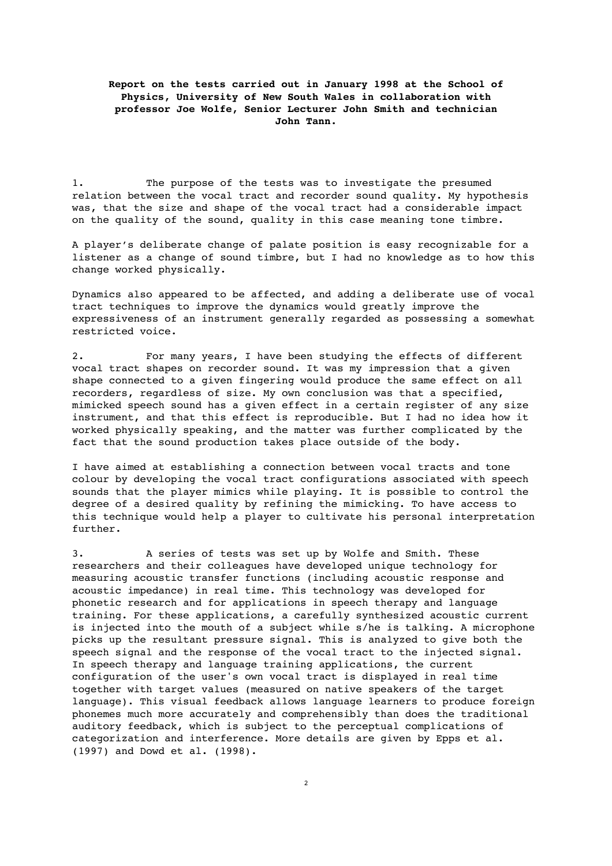## **Report on the tests carried out in January 1998 at the School of Physics, University of New South Wales in collaboration with professor Joe Wolfe, Senior Lecturer John Smith and technician John Tann.**

1. The purpose of the tests was to investigate the presumed relation between the vocal tract and recorder sound quality. My hypothesis was, that the size and shape of the vocal tract had a considerable impact on the quality of the sound, quality in this case meaning tone timbre.

A player's deliberate change of palate position is easy recognizable for a listener as a change of sound timbre, but I had no knowledge as to how this change worked physically.

Dynamics also appeared to be affected, and adding a deliberate use of vocal tract techniques to improve the dynamics would greatly improve the expressiveness of an instrument generally regarded as possessing a somewhat restricted voice.

2. For many years, I have been studying the effects of different vocal tract shapes on recorder sound. It was my impression that a given shape connected to a given fingering would produce the same effect on all recorders, regardless of size. My own conclusion was that a specified, mimicked speech sound has a given effect in a certain register of any size instrument, and that this effect is reproducible. But I had no idea how it worked physically speaking, and the matter was further complicated by the fact that the sound production takes place outside of the body.

I have aimed at establishing a connection between vocal tracts and tone colour by developing the vocal tract configurations associated with speech sounds that the player mimics while playing. It is possible to control the degree of a desired quality by refining the mimicking. To have access to this technique would help a player to cultivate his personal interpretation further.

3. A series of tests was set up by Wolfe and Smith. These researchers and their colleagues have developed unique technology for measuring acoustic transfer functions (including acoustic response and acoustic impedance) in real time. This technology was developed for phonetic research and for applications in speech therapy and language training. For these applications, a carefully synthesized acoustic current is injected into the mouth of a subject while s/he is talking. A microphone picks up the resultant pressure signal. This is analyzed to give both the speech signal and the response of the vocal tract to the injected signal. In speech therapy and language training applications, the current configuration of the user's own vocal tract is displayed in real time together with target values (measured on native speakers of the target language). This visual feedback allows language learners to produce foreign phonemes much more accurately and comprehensibly than does the traditional auditory feedback, which is subject to the perceptual complications of categorization and interference. More details are given by Epps et al. (1997) and Dowd et al. (1998).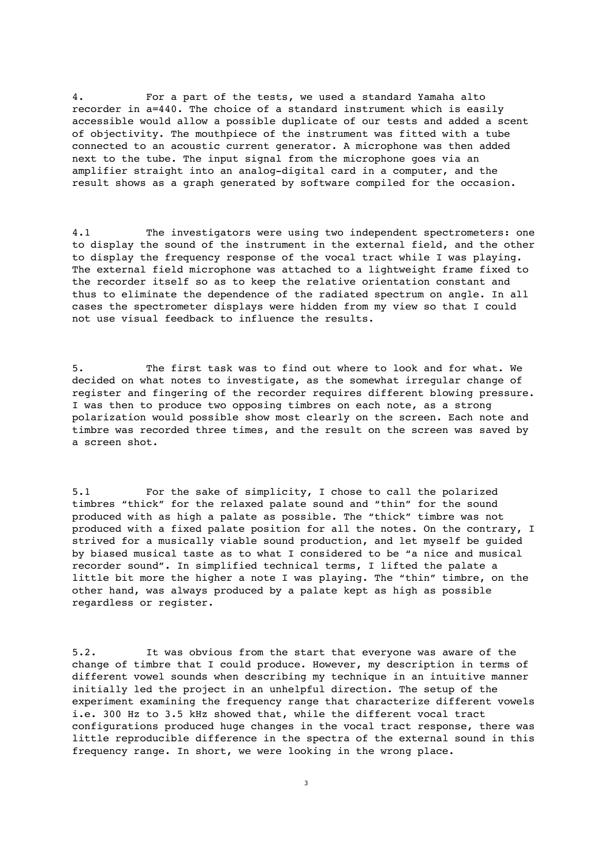4. For a part of the tests, we used a standard Yamaha alto recorder in a=440. The choice of a standard instrument which is easily accessible would allow a possible duplicate of our tests and added a scent of objectivity. The mouthpiece of the instrument was fitted with a tube connected to an acoustic current generator. A microphone was then added next to the tube. The input signal from the microphone goes via an amplifier straight into an analog-digital card in a computer, and the result shows as a graph generated by software compiled for the occasion.

4.1 The investigators were using two independent spectrometers: one to display the sound of the instrument in the external field, and the other to display the frequency response of the vocal tract while I was playing. The external field microphone was attached to a lightweight frame fixed to the recorder itself so as to keep the relative orientation constant and thus to eliminate the dependence of the radiated spectrum on angle. In all cases the spectrometer displays were hidden from my view so that I could not use visual feedback to influence the results.

5. The first task was to find out where to look and for what. We decided on what notes to investigate, as the somewhat irregular change of register and fingering of the recorder requires different blowing pressure. I was then to produce two opposing timbres on each note, as a strong polarization would possible show most clearly on the screen. Each note and timbre was recorded three times, and the result on the screen was saved by a screen shot.

5.1 For the sake of simplicity, I chose to call the polarized timbres "thick" for the relaxed palate sound and "thin" for the sound produced with as high a palate as possible. The "thick" timbre was not produced with a fixed palate position for all the notes. On the contrary, I strived for a musically viable sound production, and let myself be guided by biased musical taste as to what I considered to be "a nice and musical recorder sound". In simplified technical terms, I lifted the palate a little bit more the higher a note I was playing. The "thin" timbre, on the other hand, was always produced by a palate kept as high as possible regardless or register.

5.2. It was obvious from the start that everyone was aware of the change of timbre that I could produce. However, my description in terms of different vowel sounds when describing my technique in an intuitive manner initially led the project in an unhelpful direction. The setup of the experiment examining the frequency range that characterize different vowels i.e. 300 Hz to 3.5 kHz showed that, while the different vocal tract configurations produced huge changes in the vocal tract response, there was little reproducible difference in the spectra of the external sound in this frequency range. In short, we were looking in the wrong place.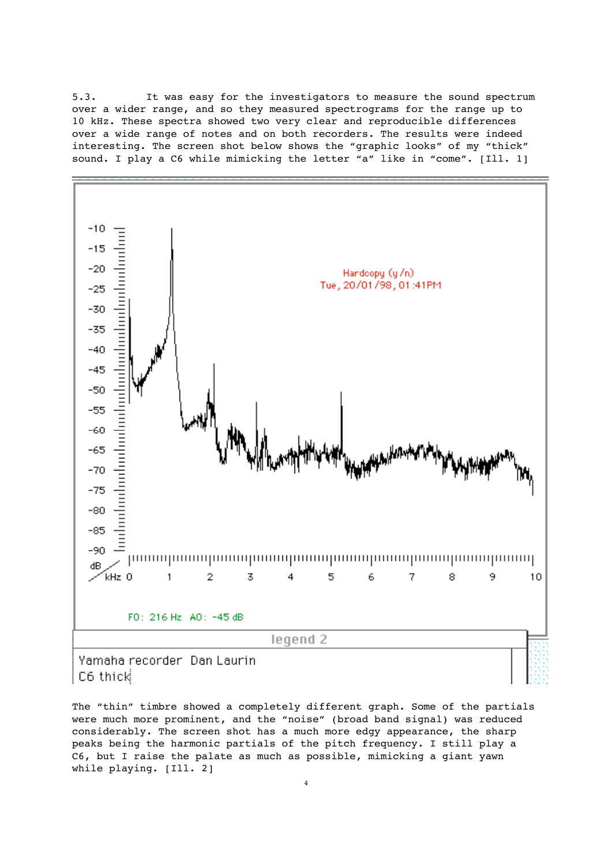5.3. It was easy for the investigators to measure the sound spectrum over a wider range, and so they measured spectrograms for the range up to 10 kHz. These spectra showed two very clear and reproducible differences over a wide range of notes and on both recorders. The results were indeed interesting. The screen shot below shows the "graphic looks" of my "thick" sound. I play a C6 while mimicking the letter "a" like in "come". [Ill. 1]



The "thin" timbre showed a completely different graph. Some of the partials were much more prominent, and the "noise" (broad band signal) was reduced considerably. The screen shot has a much more edgy appearance, the sharp peaks being the harmonic partials of the pitch frequency. I still play a C6, but I raise the palate as much as possible, mimicking a giant yawn while playing. [Ill. 2]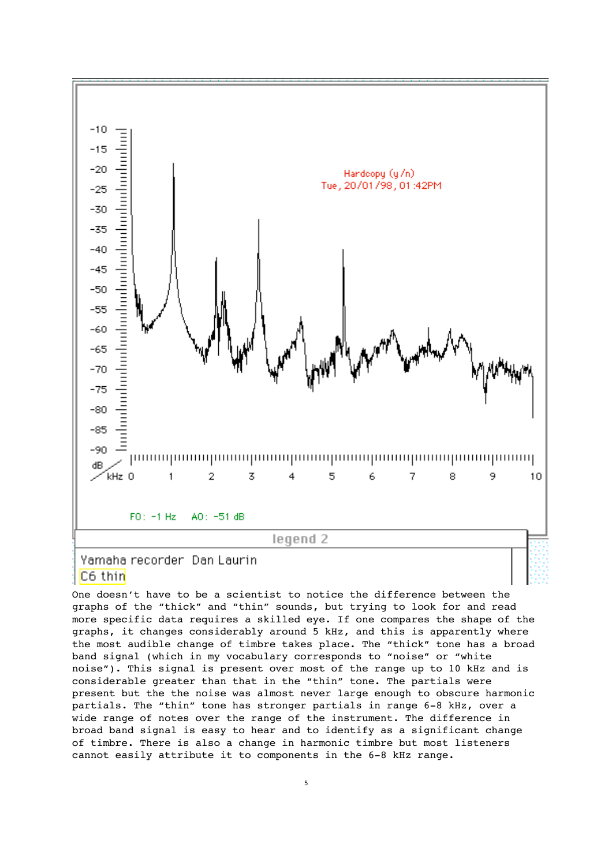

C6 thin

One doesn't have to be a scientist to notice the difference between the graphs of the "thick" and "thin" sounds, but trying to look for and read more specific data requires a skilled eye. If one compares the shape of the graphs, it changes considerably around 5 kHz, and this is apparently where the most audible change of timbre takes place. The "thick" tone has a broad band signal (which in my vocabulary corresponds to "noise" or "white noise"). This signal is present over most of the range up to 10 kHz and is considerable greater than that in the "thin" tone. The partials were present but the the noise was almost never large enough to obscure harmonic partials. The "thin" tone has stronger partials in range 6-8 kHz, over a wide range of notes over the range of the instrument. The difference in broad band signal is easy to hear and to identify as a significant change of timbre. There is also a change in harmonic timbre but most listeners cannot easily attribute it to components in the 6-8 kHz range.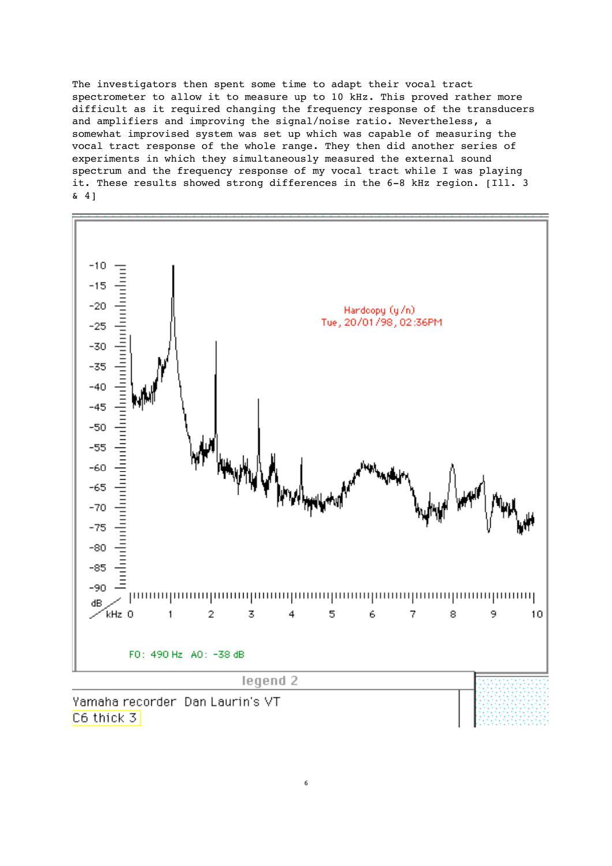The investigators then spent some time to adapt their vocal tract spectrometer to allow it to measure up to 10 kHz. This proved rather more difficult as it required changing the frequency response of the transducers and amplifiers and improving the signal/noise ratio. Nevertheless, a somewhat improvised system was set up which was capable of measuring the vocal tract response of the whole range. They then did another series of experiments in which they simultaneously measured the external sound spectrum and the frequency response of my vocal tract while I was playing it. These results showed strong differences in the 6-8 kHz region. [Ill. 3 & 4]

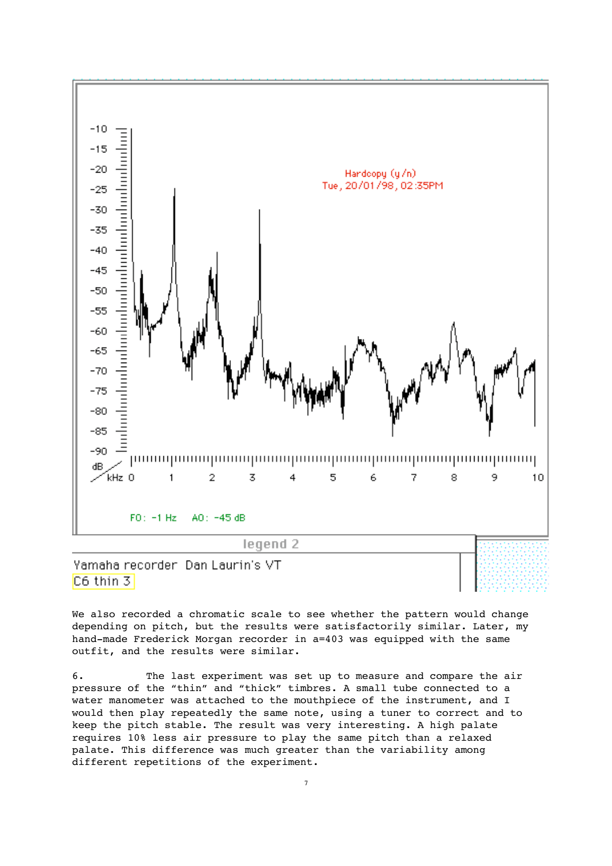

Yamaha recorder Dan Laurin's VT C6 thin 3

We also recorded a chromatic scale to see whether the pattern would change depending on pitch, but the results were satisfactorily similar. Later, my hand-made Frederick Morgan recorder in a=403 was equipped with the same outfit, and the results were similar.

6. The last experiment was set up to measure and compare the air pressure of the "thin" and "thick" timbres. A small tube connected to a water manometer was attached to the mouthpiece of the instrument, and I would then play repeatedly the same note, using a tuner to correct and to keep the pitch stable. The result was very interesting. A high palate requires 10% less air pressure to play the same pitch than a relaxed palate. This difference was much greater than the variability among different repetitions of the experiment.